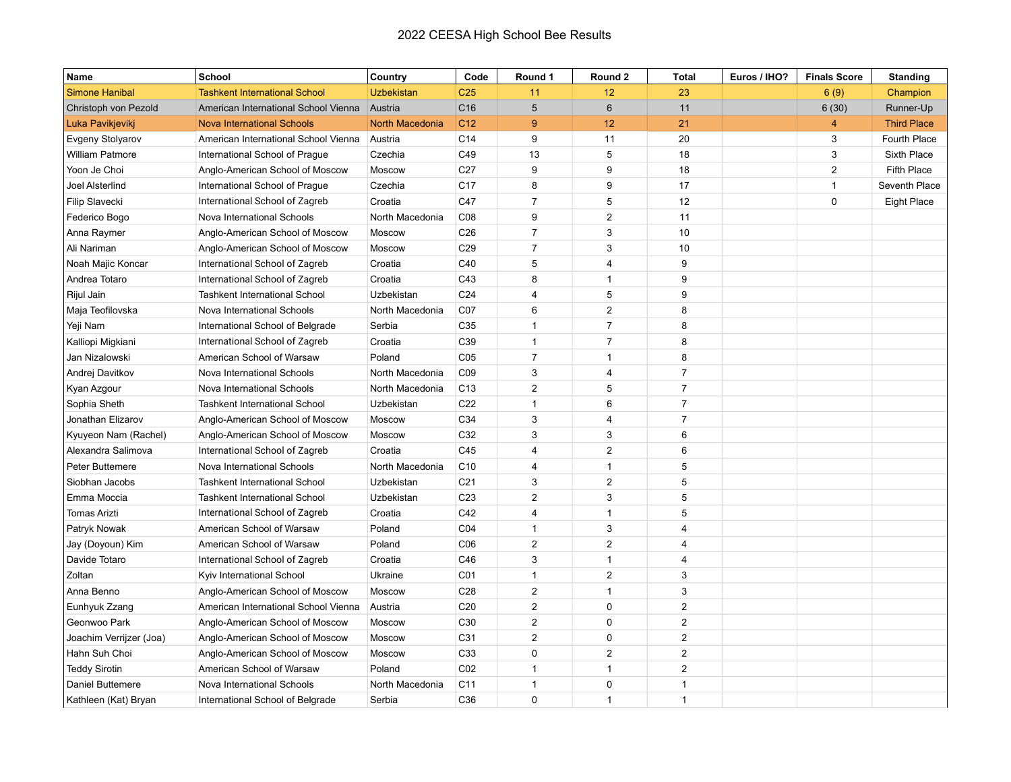## 2022 CEESA High School Bee Results

| Name                    | School                               | Country           | Code            | Round 1        | Round 2        | <b>Total</b>   | Euros / IHO? | <b>Finals Score</b> | <b>Standing</b>    |
|-------------------------|--------------------------------------|-------------------|-----------------|----------------|----------------|----------------|--------------|---------------------|--------------------|
| <b>Simone Hanibal</b>   | <b>Tashkent International School</b> | <b>Uzbekistan</b> | C <sub>25</sub> | 11             | 12             | 23             |              | 6(9)                | Champion           |
| Christoph von Pezold    | American International School Vienna | Austria           | C <sub>16</sub> | 5              | $6\phantom{1}$ | 11             |              | 6(30)               | Runner-Up          |
| Luka Pavikjevikj        | <b>Nova International Schools</b>    | North Macedonia   | C <sub>12</sub> | 9              | 12             | 21             |              | 4                   | <b>Third Place</b> |
| Evgeny Stolyarov        | American International School Vienna | Austria           | C14             | 9              | 11             | 20             |              | 3                   | Fourth Place       |
| <b>William Patmore</b>  | International School of Prague       | Czechia           | C49             | 13             | 5              | 18             |              | 3                   | Sixth Place        |
| Yoon Je Choi            | Anglo-American School of Moscow      | Moscow            | C <sub>27</sub> | 9              | 9              | 18             |              | $\overline{2}$      | <b>Fifth Place</b> |
| Joel Alsterlind         | International School of Prague       | Czechia           | C <sub>17</sub> | 8              | 9              | 17             |              | $\mathbf{1}$        | Seventh Place      |
| Filip Slavecki          | International School of Zagreb       | Croatia           | C47             | $\overline{7}$ | 5              | 12             |              | $\pmb{0}$           | Eight Place        |
| Federico Bogo           | Nova International Schools           | North Macedonia   | C08             | 9              | $\overline{2}$ | 11             |              |                     |                    |
| Anna Raymer             | Anglo-American School of Moscow      | Moscow            | C <sub>26</sub> | $\overline{7}$ | 3              | 10             |              |                     |                    |
| Ali Nariman             | Anglo-American School of Moscow      | Moscow            | C <sub>29</sub> | $\overline{7}$ | 3              | 10             |              |                     |                    |
| Noah Majic Koncar       | International School of Zagreb       | Croatia           | C40             | 5              | 4              | 9              |              |                     |                    |
| Andrea Totaro           | International School of Zagreb       | Croatia           | C43             | 8              | $\mathbf{1}$   | 9              |              |                     |                    |
| Rijul Jain              | <b>Tashkent International School</b> | Uzbekistan        | C <sub>24</sub> | 4              | 5              | 9              |              |                     |                    |
| Maja Teofilovska        | Nova International Schools           | North Macedonia   | CO7             | 6              | $\overline{2}$ | 8              |              |                     |                    |
| Yeji Nam                | International School of Belgrade     | Serbia            | C35             | $\mathbf{1}$   | $\overline{7}$ | 8              |              |                     |                    |
| Kalliopi Migkiani       | International School of Zagreb       | Croatia           | C39             | $\mathbf{1}$   | $\overline{7}$ | 8              |              |                     |                    |
| Jan Nizalowski          | American School of Warsaw            | Poland            | C <sub>05</sub> | $\overline{7}$ | $\mathbf{1}$   | 8              |              |                     |                    |
| Andrej Davitkov         | Nova International Schools           | North Macedonia   | C09             | 3              | 4              | $\overline{7}$ |              |                     |                    |
| Kyan Azgour             | Nova International Schools           | North Macedonia   | C <sub>13</sub> | $\overline{2}$ | 5              | $\overline{7}$ |              |                     |                    |
| Sophia Sheth            | <b>Tashkent International School</b> | Uzbekistan        | C <sub>22</sub> | $\mathbf{1}$   | 6              | $\overline{7}$ |              |                     |                    |
| Jonathan Elizarov       | Anglo-American School of Moscow      | Moscow            | C34             | 3              | 4              | $\overline{7}$ |              |                     |                    |
| Kyuyeon Nam (Rachel)    | Anglo-American School of Moscow      | Moscow            | C32             | 3              | 3              | 6              |              |                     |                    |
| Alexandra Salimova      | International School of Zagreb       | Croatia           | C45             | $\overline{4}$ | $\overline{2}$ | 6              |              |                     |                    |
| Peter Buttemere         | Nova International Schools           | North Macedonia   | C <sub>10</sub> | 4              | $\mathbf{1}$   | 5              |              |                     |                    |
| Siobhan Jacobs          | <b>Tashkent International School</b> | Uzbekistan        | C <sub>21</sub> | 3              | $\overline{a}$ | 5              |              |                     |                    |
| Emma Moccia             | <b>Tashkent International School</b> | Uzbekistan        | C <sub>23</sub> | $\overline{2}$ | 3              | 5              |              |                     |                    |
| <b>Tomas Arizti</b>     | International School of Zagreb       | Croatia           | C42             | 4              | $\mathbf{1}$   | 5              |              |                     |                    |
| Patryk Nowak            | American School of Warsaw            | Poland            | C04             | $\mathbf{1}$   | 3              | $\overline{4}$ |              |                     |                    |
| Jay (Doyoun) Kim        | American School of Warsaw            | Poland            | C <sub>06</sub> | $\overline{c}$ | $\overline{c}$ | $\overline{4}$ |              |                     |                    |
| Davide Totaro           | International School of Zagreb       | Croatia           | C46             | 3              | $\mathbf{1}$   | $\overline{4}$ |              |                     |                    |
| Zoltan                  | Kyiv International School            | Ukraine           | C <sub>01</sub> | $\mathbf{1}$   | $\overline{2}$ | 3              |              |                     |                    |
| Anna Benno              | Anglo-American School of Moscow      | Moscow            | C28             | $\overline{2}$ | $\mathbf{1}$   | 3              |              |                     |                    |
| Eunhyuk Zzang           | American International School Vienna | Austria           | C <sub>20</sub> | $\overline{2}$ | 0              | $\sqrt{2}$     |              |                     |                    |
| Geonwoo Park            | Anglo-American School of Moscow      | Moscow            | C30             | $\overline{2}$ | $\mathbf 0$    | $\overline{2}$ |              |                     |                    |
| Joachim Verrijzer (Joa) | Anglo-American School of Moscow      | Moscow            | C31             | $\overline{c}$ | 0              | $\overline{2}$ |              |                     |                    |
| Hahn Suh Choi           | Anglo-American School of Moscow      | Moscow            | C33             | 0              | $\overline{2}$ | $\overline{2}$ |              |                     |                    |
| <b>Teddy Sirotin</b>    | American School of Warsaw            | Poland            | CO <sub>2</sub> | 1              | $\mathbf 1$    | 2              |              |                     |                    |
| Daniel Buttemere        | Nova International Schools           | North Macedonia   | C11             | $\mathbf{1}$   | 0              | $\overline{1}$ |              |                     |                    |
| Kathleen (Kat) Bryan    | International School of Belgrade     | Serbia            | C36             | $\Omega$       | $\mathbf{1}$   | $\overline{1}$ |              |                     |                    |